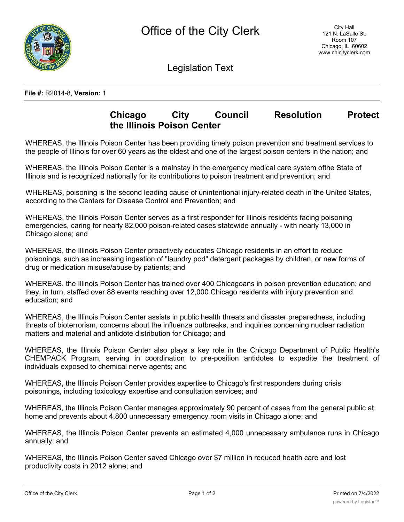

Legislation Text

## **File #:** R2014-8, **Version:** 1

## **Chicago City Council Resolution Protect the Illinois Poison Center**

WHEREAS, the Illinois Poison Center has been providing timely poison prevention and treatment services to the people of Illinois for over 60 years as the oldest and one of the largest poison centers in the nation; and

WHEREAS, the Illinois Poison Center is a mainstay in the emergency medical care system ofthe State of Illinois and is recognized nationally for its contributions to poison treatment and prevention; and

WHEREAS, poisoning is the second leading cause of unintentional injury-related death in the United States, according to the Centers for Disease Control and Prevention; and

WHEREAS, the Illinois Poison Center serves as a first responder for Illinois residents facing poisoning emergencies, caring for nearly 82,000 poison-related cases statewide annually - with nearly 13,000 in Chicago alone; and

WHEREAS, the Illinois Poison Center proactively educates Chicago residents in an effort to reduce poisonings, such as increasing ingestion of "laundry pod" detergent packages by children, or new forms of drug or medication misuse/abuse by patients; and

WHEREAS, the Illinois Poison Center has trained over 400 Chicagoans in poison prevention education; and they, in turn, staffed over 88 events reaching over 12,000 Chicago residents with injury prevention and education; and

WHEREAS, the Illinois Poison Center assists in public health threats and disaster preparedness, including threats of bioterrorism, concerns about the influenza outbreaks, and inquiries concerning nuclear radiation matters and material and antidote distribution for Chicago; and

WHEREAS, the Illinois Poison Center also plays a key role in the Chicago Department of Public Health's CHEMPACK Program, serving in coordination to pre-position antidotes to expedite the treatment of individuals exposed to chemical nerve agents; and

WHEREAS, the Illinois Poison Center provides expertise to Chicago's first responders during crisis poisonings, including toxicology expertise and consultation services; and

WHEREAS, the Illinois Poison Center manages approximately 90 percent of cases from the general public at home and prevents about 4,800 unnecessary emergency room visits in Chicago alone; and

WHEREAS, the Illinois Poison Center prevents an estimated 4,000 unnecessary ambulance runs in Chicago annually; and

WHEREAS, the Illinois Poison Center saved Chicago over \$7 million in reduced health care and lost productivity costs in 2012 alone; and